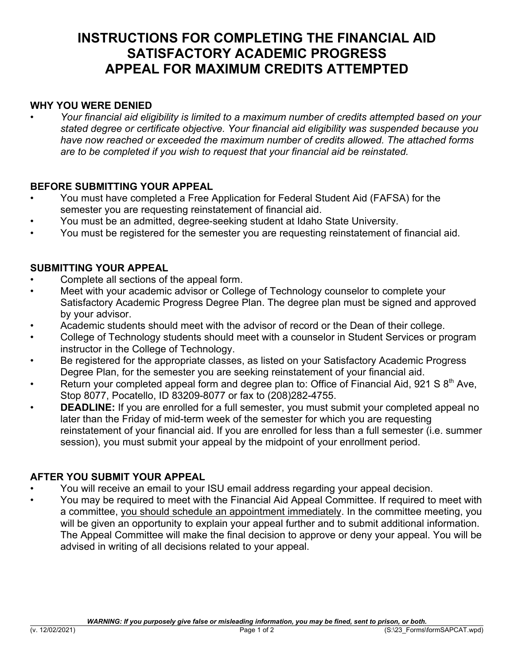# **INSTRUCTIONS FOR COMPLETING THE FINANCIAL AID SATISFACTORY ACADEMIC PROGRESS APPEAL FOR MAXIMUM CREDITS ATTEMPTED**

### **WHY YOU WERE DENIED**

*• Your financial aid eligibility is limited to a maximum number of credits attempted based on your stated degree or certificate objective. Your financial aid eligibility was suspended because you have now reached or exceeded the maximum number of credits allowed. The attached forms are to be completed if you wish to request that your financial aid be reinstated.*

### **BEFORE SUBMITTING YOUR APPEAL**

- You must have completed a Free Application for Federal Student Aid (FAFSA) for the semester you are requesting reinstatement of financial aid.
- You must be an admitted, degree-seeking student at Idaho State University.
- You must be registered for the semester you are requesting reinstatement of financial aid.

### **SUBMITTING YOUR APPEAL**

- Complete all sections of the appeal form.
- Meet with your academic advisor or College of Technology counselor to complete your Satisfactory Academic Progress Degree Plan. The degree plan must be signed and approved by your advisor.
- Academic students should meet with the advisor of record or the Dean of their college.
- College of Technology students should meet with a counselor in Student Services or program instructor in the College of Technology.
- Be registered for the appropriate classes, as listed on your Satisfactory Academic Progress Degree Plan, for the semester you are seeking reinstatement of your financial aid.
- Return your completed appeal form and degree plan to: Office of Financial Aid, 921 S  $8<sup>th</sup>$  Ave, Stop 8077, Pocatello, ID 83209-8077 or fax to (208)282-4755.
- **DEADLINE:** If you are enrolled for a full semester, you must submit your completed appeal no later than the Friday of mid-term week of the semester for which you are requesting reinstatement of your financial aid. If you are enrolled for less than a full semester (i.e. summer session), you must submit your appeal by the midpoint of your enrollment period.

## **AFTER YOU SUBMIT YOUR APPEAL**

- You will receive an email to your ISU email address regarding your appeal decision.
- You may be required to meet with the Financial Aid Appeal Committee. If required to meet with a committee, you should schedule an appointment immediately. In the committee meeting, you will be given an opportunity to explain your appeal further and to submit additional information. The Appeal Committee will make the final decision to approve or deny your appeal. You will be advised in writing of all decisions related to your appeal.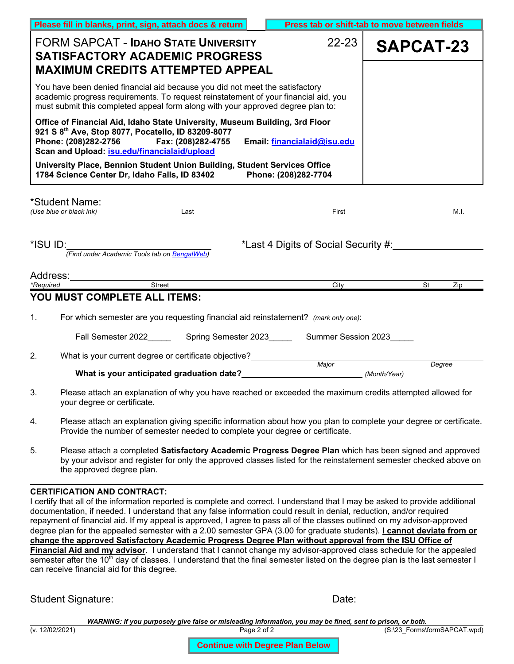| Please fill in blanks, print, sign, attach docs & return                                                                                                                                                                                                        | Press tab or shift-tab to move between fields                                                                                                                                                        |           |  |  |  |  |  |  |  |
|-----------------------------------------------------------------------------------------------------------------------------------------------------------------------------------------------------------------------------------------------------------------|------------------------------------------------------------------------------------------------------------------------------------------------------------------------------------------------------|-----------|--|--|--|--|--|--|--|
| <b>FORM SAPCAT - IDAHO STATE UNIVERSITY</b><br><b>SATISFACTORY ACADEMIC PROGRESS</b><br><b>MAXIMUM CREDITS ATTEMPTED APPEAL</b>                                                                                                                                 | $22 - 23$                                                                                                                                                                                            | SAPCAT-23 |  |  |  |  |  |  |  |
| You have been denied financial aid because you did not meet the satisfactory<br>academic progress requirements. To request reinstatement of your financial aid, you<br>must submit this completed appeal form along with your approved degree plan to:          |                                                                                                                                                                                                      |           |  |  |  |  |  |  |  |
| Office of Financial Aid, Idaho State University, Museum Building, 3rd Floor<br>921 S 8th Ave, Stop 8077, Pocatello, ID 83209-8077<br>Phone: (208)282-2756 Fax: (208)282-4755<br>Scan and Upload: isu.edu/financialaid/upload                                    | Email: financialaid@isu.edu                                                                                                                                                                          |           |  |  |  |  |  |  |  |
| University Place, Bennion Student Union Building, Student Services Office<br>1784 Science Center Dr, Idaho Falls, ID 83402 Phone: (208)282-7704                                                                                                                 |                                                                                                                                                                                                      |           |  |  |  |  |  |  |  |
| *Student Name:<br>(I Ise blue or black ink)<br>All Se blue or black ink)                                                                                                                                                                                        | First                                                                                                                                                                                                | M.I.      |  |  |  |  |  |  |  |
| *ISU ID:<br>(Find under Academic Tools tab on BengalWeb)                                                                                                                                                                                                        | *Last 4 Digits of Social Security #:                                                                                                                                                                 |           |  |  |  |  |  |  |  |
| Address:_________________                                                                                                                                                                                                                                       |                                                                                                                                                                                                      |           |  |  |  |  |  |  |  |
| Street<br>*Required                                                                                                                                                                                                                                             | City                                                                                                                                                                                                 | St<br>Zip |  |  |  |  |  |  |  |
| YOU MUST COMPLETE ALL ITEMS:                                                                                                                                                                                                                                    |                                                                                                                                                                                                      |           |  |  |  |  |  |  |  |
| 1.<br>For which semester are you requesting financial aid reinstatement? (mark only one):                                                                                                                                                                       |                                                                                                                                                                                                      |           |  |  |  |  |  |  |  |
| Fall Semester 2022 Spring Semester 2023 Summer Session 2023                                                                                                                                                                                                     |                                                                                                                                                                                                      |           |  |  |  |  |  |  |  |
| 2.<br>What is your current degree or certificate objective?                                                                                                                                                                                                     | Major                                                                                                                                                                                                |           |  |  |  |  |  |  |  |
| What is your anticipated graduation date?<br>What is your anticipated graduation date?                                                                                                                                                                          |                                                                                                                                                                                                      | Degree    |  |  |  |  |  |  |  |
| 3.<br>Please attach an explanation of why you have reached or exceeded the maximum credits attempted allowed for<br>your degree or certificate.                                                                                                                 |                                                                                                                                                                                                      |           |  |  |  |  |  |  |  |
| 4.                                                                                                                                                                                                                                                              | Please attach an explanation giving specific information about how you plan to complete your degree or certificate.<br>Provide the number of semester needed to complete your degree or certificate. |           |  |  |  |  |  |  |  |
| 5.<br>Please attach a completed Satisfactory Academic Progress Degree Plan which has been signed and approved<br>by your advisor and register for only the approved classes listed for the reinstatement semester checked above on<br>the approved degree plan. |                                                                                                                                                                                                      |           |  |  |  |  |  |  |  |
| <b>CERTIFICATION AND CONTRACT:</b>                                                                                                                                                                                                                              |                                                                                                                                                                                                      |           |  |  |  |  |  |  |  |

#### I certify that all of the information reported is complete and correct. I understand that I may be asked to provide additional documentation, if needed. I understand that any false information could result in denial, reduction, and/or required repayment of financial aid. If my appeal is approved, I agree to pass all of the classes outlined on my advisor-approved degree plan for the appealed semester with a 2.00 semester GPA (3.00 for graduate students). **I cannot deviate from or change the approved Satisfactory Academic Progress Degree Plan without approval from the ISU Office of Financial Aid and my advisor**. I understand that I cannot change my advisor-approved class schedule for the appealed semester after the 10<sup>th</sup> day of classes. I understand that the final semester listed on the degree plan is the last semester I can receive financial aid for this degree.

Student Signature: Notified a state of the student Signature: Note: Date: Date:

*WARNING: If you purposely give false or misleading information, you may be fined, sent to prison, or both.*